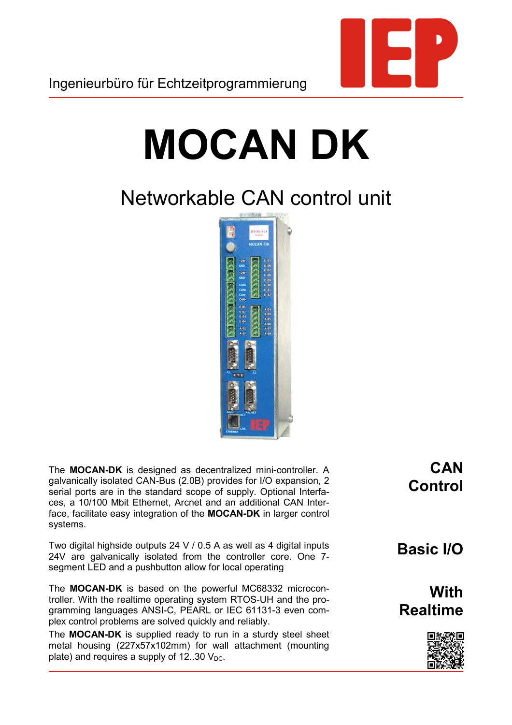

## **MOCAN DK**

## Networkable CAN control unit



The **MOCAN-DK** is designed as decentralized mini-controller. A galvanically isolated CAN-Bus (2.0B) provides for I/O expansion, 2 serial ports are in the standard scope of supply. Optional Interfaces, a 10/100 Mbit Ethernet, Arcnet and an additional CAN Interface, facilitate easy integration of the **MOCAN-DK** in larger control systems.

Two digital highside outputs 24 V / 0.5 A as well as 4 digital inputs 24V are galvanically isolated from the controller core. One 7 segment LED and a pushbutton allow for local operating

The **MOCAN-DK** is based on the powerful MC68332 microcontroller. With the realtime operating system RTOS-UH and the programming languages ANSI-C, PEARL or IEC 61131-3 even complex control problems are solved quickly and reliably.

The **MOCAN-DK** is supplied ready to run in a sturdy steel sheet metal housing (227x57x102mm) for wall attachment (mounting plate) and requires a supply of  $12..30$   $V_{DC}$ .

**CAN Control**

**Basic I/O**